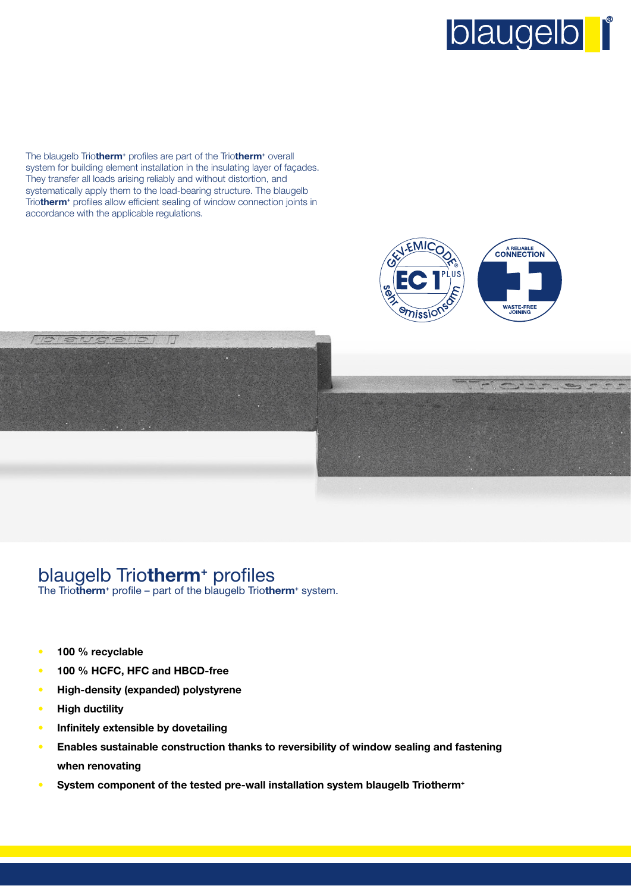

The blaugelb Trio**therm<sup>+</sup>** profiles are part of the Trio**therm<sup>+</sup>** overall system for building element installation in the insulating layer of façades. They transfer all loads arising reliably and without distortion, and systematically apply them to the load-bearing structure. The blaugelb Trio**therm<sup>+</sup>** profiles allow efficient sealing of window connection joints in accordance with the applicable regulations.





## blaugelb Trio**therm<sup>+</sup>** profiles

The Triotherm<sup>+</sup> profile – part of the blaugelb Triotherm<sup>+</sup> system.

- **100 % recyclable**
- **100 % HCFC, HFC and HBCD-free**
- **High-density (expanded) polystyrene**
- **High ductility**
- **Infinitely extensible by dovetailing**
- **Enables sustainable construction thanks to reversibility of window sealing and fastening when renovating**
- **System component of the tested pre-wall installation system blaugelb Triotherm<sup>+</sup>**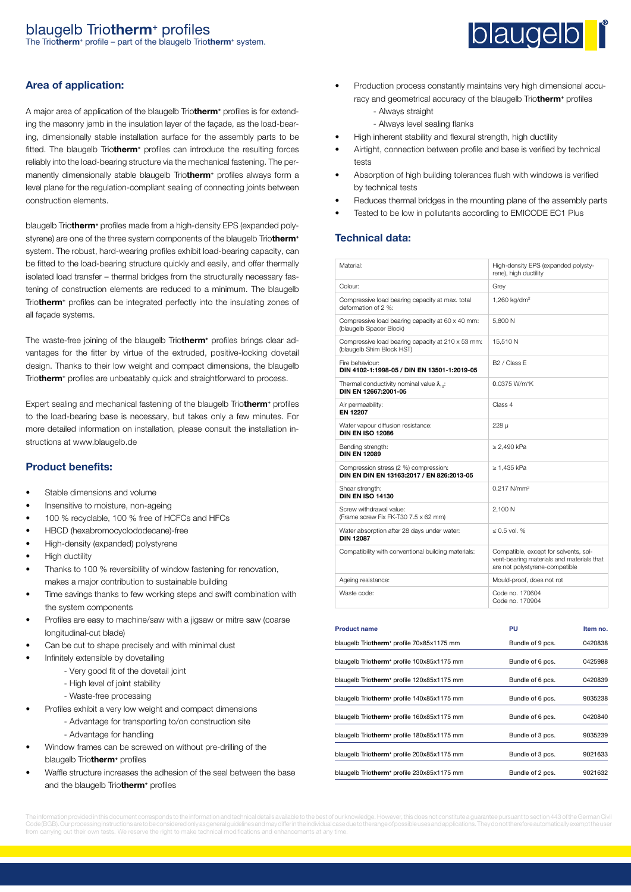## blaugelb Trio**therm<sup>+</sup>** profiles

The Trio**therm<sup>+</sup>** profile – part of the blaugelb Trio**therm<sup>+</sup>** system.

#### **Area of application:**

A major area of application of the blaugelb Trio**therm<sup>+</sup>** profiles is for extending the masonry jamb in the insulation layer of the façade, as the load-bearing, dimensionally stable installation surface for the assembly parts to be fitted. The blaugelb Trio**therm<sup>+</sup>** profiles can introduce the resulting forces reliably into the load-bearing structure via the mechanical fastening. The permanently dimensionally stable blaugelb Trio**therm<sup>+</sup>** profiles always form a level plane for the regulation-compliant sealing of connecting joints between construction elements.

blaugelb Trio**therm<sup>+</sup>** profiles made from a high-density EPS (expanded polystyrene) are one of the three system components of the blaugelb Trio**therm<sup>+</sup>** system. The robust, hard-wearing profiles exhibit load-bearing capacity, can be fitted to the load-bearing structure quickly and easily, and offer thermally isolated load transfer – thermal bridges from the structurally necessary fastening of construction elements are reduced to a minimum. The blaugelb Trio**therm<sup>+</sup>** profiles can be integrated perfectly into the insulating zones of all façade systems.

The waste-free joining of the blaugelb Trio**therm<sup>+</sup>** profiles brings clear advantages for the fitter by virtue of the extruded, positive-locking dovetail design. Thanks to their low weight and compact dimensions, the blaugelb Triotherm<sup>+</sup> profiles are unbeatably quick and straightforward to process.

Expert sealing and mechanical fastening of the blaugelb Trio**therm<sup>+</sup>** profiles to the load-bearing base is necessary, but takes only a few minutes. For more detailed information on installation, please consult the installation instructions at www.blaugelb.de

#### **Product benefits:**

- Stable dimensions and volume
- Insensitive to moisture, non-ageing
- 100 % recyclable, 100 % free of HCFCs and HFCs
- HBCD (hexabromocyclododecane)-free
- High-density (expanded) polystyrene
- High ductility
- Thanks to 100 % reversibility of window fastening for renovation, makes a major contribution to sustainable building
- Time savings thanks to few working steps and swift combination with the system components
- Profiles are easy to machine/saw with a jigsaw or mitre saw (coarse longitudinal-cut blade)
- Can be cut to shape precisely and with minimal dust
- Infinitely extensible by dovetailing
	- Very good fit of the dovetail joint
	- High level of joint stability
	- Waste-free processing
- Profiles exhibit a very low weight and compact dimensions
	- Advantage for transporting to/on construction site
		- Advantage for handling
- Window frames can be screwed on without pre-drilling of the blaugelb Trio**therm<sup>+</sup>** profiles
- Waffle structure increases the adhesion of the seal between the base and the blaugelb Trio**therm<sup>+</sup>** profiles



- Production process constantly maintains very high dimensional accuracy and geometrical accuracy of the blaugelb Trio**therm<sup>+</sup>** profiles
	- Always straight
	- Always level sealing flanks
- High inherent stability and flexural strength, high ductility
- Airtight, connection between profile and base is verified by technical tests
- Absorption of high building tolerances flush with windows is verified by technical tests
- Reduces thermal bridges in the mounting plane of the assembly parts
- Tested to be low in pollutants according to EMICODE EC1 Plus

#### **Technical data:**

| Material:                                                                           | High-density EPS (expanded polysty-<br>rene), high ductility                                                         |          |
|-------------------------------------------------------------------------------------|----------------------------------------------------------------------------------------------------------------------|----------|
| Colour:                                                                             | Grey                                                                                                                 |          |
| Compressive load bearing capacity at max. total<br>deformation of 2 %:              | 1,260 kg/dm <sup>2</sup>                                                                                             |          |
| Compressive load bearing capacity at 60 x 40 mm:<br>(blaugelb Spacer Block)         | 5,800 N                                                                                                              |          |
| Compressive load bearing capacity at 210 x 53 mm:<br>(blaugelb Shim Block HST)      | 15,510N                                                                                                              |          |
| Fire behaviour:<br>DIN 4102-1:1998-05 / DIN EN 13501-1:2019-05                      | B <sub>2</sub> / Class F                                                                                             |          |
| Thermal conductivity nominal value $\lambda_{\text{tot}}$ :<br>DIN EN 12667:2001-05 | 0.0375 W/m*K                                                                                                         |          |
| Air permeability:<br><b>EN 12207</b>                                                | Class 4                                                                                                              |          |
| Water vapour diffusion resistance:<br><b>DIN EN ISO 12086</b>                       | $228\mu$                                                                                                             |          |
| Bending strength:<br><b>DIN EN 12089</b>                                            | $\geq$ 2,490 kPa                                                                                                     |          |
| Compression stress (2 %) compression:<br>DIN EN DIN EN 13163:2017 / EN 826:2013-05  | $\geq$ 1,435 kPa                                                                                                     |          |
| Shear strength:<br><b>DIN EN ISO 14130</b>                                          | 0.217 N/mm <sup>2</sup>                                                                                              |          |
| Screw withdrawal value:<br>(Frame screw Fix FK-T30 7.5 x 62 mm)                     | 2,100 N                                                                                                              |          |
| Water absorption after 28 days under water:<br><b>DIN 12087</b>                     | $\leq 0.5$ vol. %                                                                                                    |          |
| Compatibility with conventional building materials:                                 | Compatible, except for solvents, sol-<br>vent-bearing materials and materials that<br>are not polystyrene-compatible |          |
| Ageing resistance:                                                                  | Mould-proof, does not rot                                                                                            |          |
| Waste code:                                                                         | Code no. 170604<br>Code no. 170904                                                                                   |          |
| <b>Product name</b>                                                                 | PU                                                                                                                   | Item no. |
| blaugelb Triotherm <sup>+</sup> profile 70x85x1175 mm                               | Bundle of 9 pcs.                                                                                                     | 0420838  |
|                                                                                     |                                                                                                                      |          |
| blaugelb Triotherm <sup>+</sup> profile 100x85x1175 mm                              | Bundle of 6 pcs.                                                                                                     | 0425988  |
| blaugelb Triotherm <sup>+</sup> profile 120x85x1175 mm                              | Bundle of 6 pcs.                                                                                                     | 0420839  |
| blaugelb Triotherm <sup>+</sup> profile 140x85x1175 mm                              | Bundle of 6 pcs.                                                                                                     | 9035238  |
| blaugelb Triotherm <sup>+</sup> profile 160x85x1175 mm                              | Bundle of 6 pcs.                                                                                                     | 0420840  |
| blaugelb Triotherm <sup>+</sup> profile 180x85x1175 mm                              | Bundle of 3 pcs.                                                                                                     | 9035239  |
| blaugelb Triotherm <sup>+</sup> profile 200x85x1175 mm                              | Bundle of 3 pcs.                                                                                                     | 9021633  |

blaugelb Triotherm<sup>+</sup> profile 230x85x1175 mm Bundle of 2 pcs. 9021632

Code (BGB). Our processing instructions are to be considered only as general guidelines and may differ in the individual case due to the range of possible uses and applications. They do not therefore automatically exempt t from carrying out their own tests. We reserve the right to make technical modifications and enhancements at any time.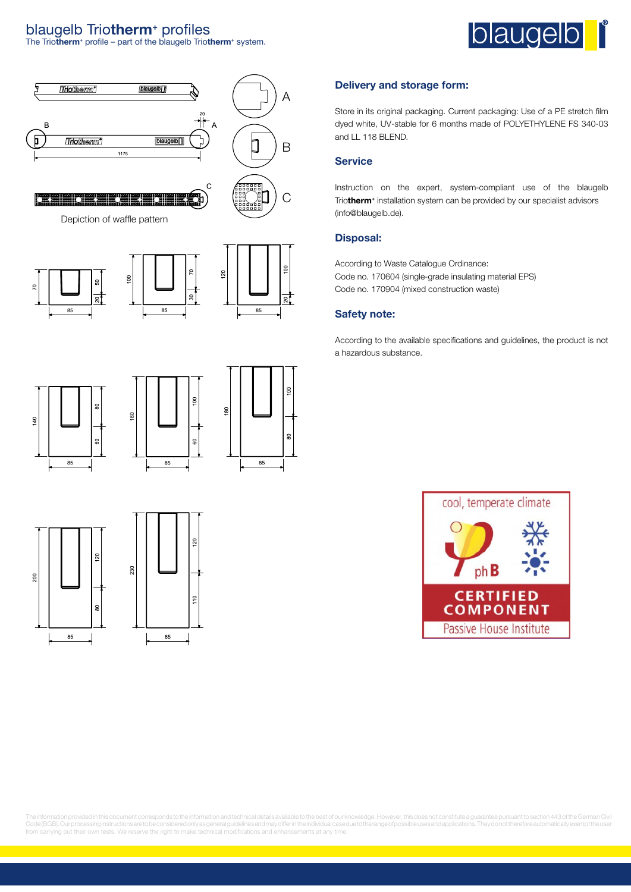## blaugelb Trio**therm<sup>+</sup>** profiles

The Trio**therm<sup>+</sup>** profile – part of the blaugelb Trio**therm<sup>+</sup>** system.





 $\frac{1}{2}$ 

85

g

85

#### **Delivery and storage form:**

Store in its original packaging. Current packaging: Use of a PE stretch film dyed white, UV-stable for 6 months made of POLYETHYLENE FS 340-03 and LL 118 BLEND.

#### **Service**

Instruction on the expert, system-compliant use of the blaugelb Trio**therm<sup>+</sup>** installation system can be provided by our specialist advisors (info@blaugelb.de).

#### **Disposal:**

According to Waste Catalogue Ordinance: Code no. 170604 (single-grade insulating material EPS) Code no. 170904 (mixed construction waste)

#### **Safety note:**

According to the available specifications and guidelines, the product is not a hazardous substance.



The information provided in this document corresponds to the information and technical details available to the best of our knowledge. However, this does not constitute a guarantee pursuant to section 443 of the German Civil Code(BGB). Our processing instructions are to be considered only as general guidelines and may differ in the individual case due to the range of possible uses and applications. They do not therefore automatically exempt th